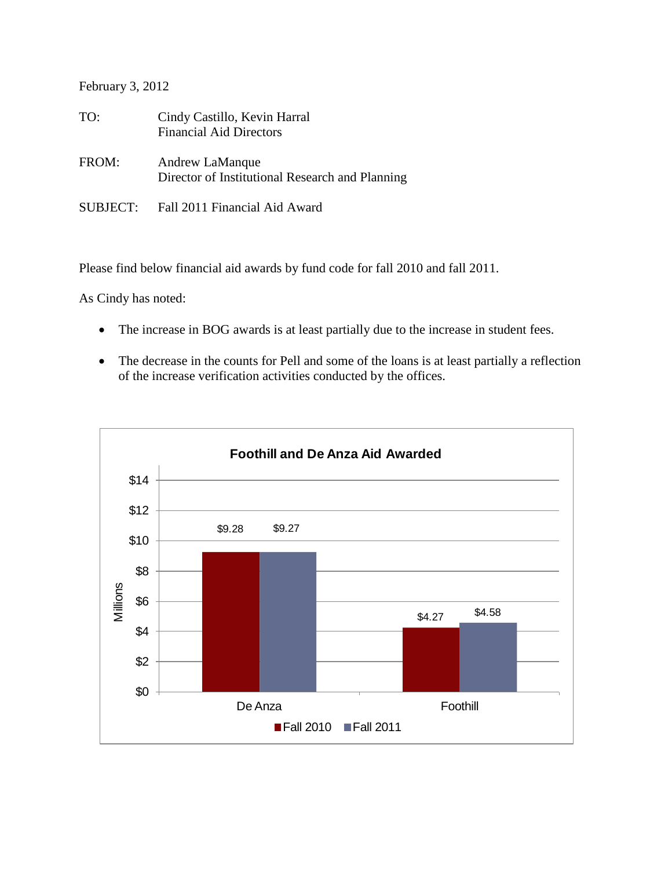February 3, 2012

| TO:      | Cindy Castillo, Kevin Harral<br><b>Financial Aid Directors</b>     |
|----------|--------------------------------------------------------------------|
| FROM:    | Andrew LaManque<br>Director of Institutional Research and Planning |
| SUBJECT: | Fall 2011 Financial Aid Award                                      |

Please find below financial aid awards by fund code for fall 2010 and fall 2011.

As Cindy has noted:

- The increase in BOG awards is at least partially due to the increase in student fees.
- The decrease in the counts for Pell and some of the loans is at least partially a reflection of the increase verification activities conducted by the offices.

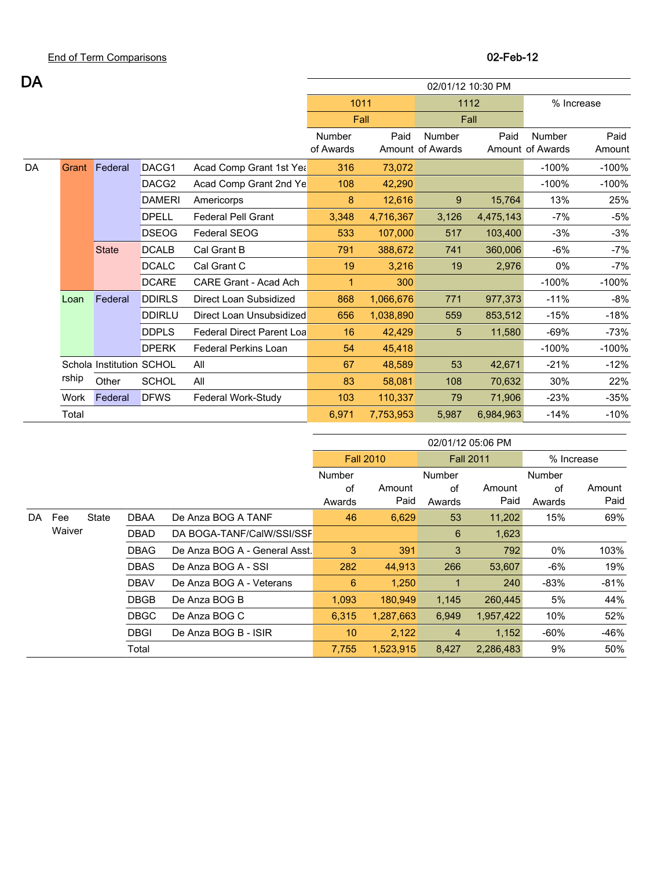| DA<br>02/01/12 10:30 PM<br>1011<br>1112<br>Fall<br>Fall<br>Paid<br>Number<br>Number<br>Paid<br>Number<br>of Awards<br>Amount of Awards<br>Amount of Awards<br>DACG1<br>Federal<br>Acad Comp Grant 1st Yea<br>73,072<br>$-100%$<br>DA<br>316<br>Grant<br>DACG <sub>2</sub><br>Acad Comp Grant 2nd Ye<br>42,290<br>$-100%$<br>108<br><b>DAMERI</b><br>12,616<br>13%<br>Americorps<br>8<br>9<br>15,764<br><b>DPELL</b><br><b>Federal Pell Grant</b><br>3,348<br>4,475,143<br>$-7%$<br>4,716,367<br>3,126<br>103,400<br><b>DSEOG</b><br>Federal SEOG<br>107,000<br>$-3%$<br>533<br>517<br><b>DCALB</b><br>Cal Grant B<br>360,006<br>$-6%$<br><b>State</b><br>791<br>388,672<br>741<br><b>DCALC</b><br>Cal Grant C<br>19<br>3,216<br>0%<br>19<br>2,976<br><b>DCARE</b><br>CARE Grant - Acad Ach<br>$-100%$<br>300<br>$\mathbf{1}$<br><b>DDIRLS</b><br>Federal<br>Direct Loan Subsidized<br>868<br>1,066,676<br>977,373<br>$-11%$<br>771<br>Loan<br><b>DDIRLU</b><br>Direct Loan Unsubsidized<br>1,038,890<br>853,512<br>656<br>559<br>$-15%$ | % Increase |
|-----------------------------------------------------------------------------------------------------------------------------------------------------------------------------------------------------------------------------------------------------------------------------------------------------------------------------------------------------------------------------------------------------------------------------------------------------------------------------------------------------------------------------------------------------------------------------------------------------------------------------------------------------------------------------------------------------------------------------------------------------------------------------------------------------------------------------------------------------------------------------------------------------------------------------------------------------------------------------------------------------------------------------------------|------------|
|                                                                                                                                                                                                                                                                                                                                                                                                                                                                                                                                                                                                                                                                                                                                                                                                                                                                                                                                                                                                                                         |            |
|                                                                                                                                                                                                                                                                                                                                                                                                                                                                                                                                                                                                                                                                                                                                                                                                                                                                                                                                                                                                                                         |            |
|                                                                                                                                                                                                                                                                                                                                                                                                                                                                                                                                                                                                                                                                                                                                                                                                                                                                                                                                                                                                                                         |            |
|                                                                                                                                                                                                                                                                                                                                                                                                                                                                                                                                                                                                                                                                                                                                                                                                                                                                                                                                                                                                                                         | Paid       |
|                                                                                                                                                                                                                                                                                                                                                                                                                                                                                                                                                                                                                                                                                                                                                                                                                                                                                                                                                                                                                                         | Amount     |
|                                                                                                                                                                                                                                                                                                                                                                                                                                                                                                                                                                                                                                                                                                                                                                                                                                                                                                                                                                                                                                         | $-100%$    |
|                                                                                                                                                                                                                                                                                                                                                                                                                                                                                                                                                                                                                                                                                                                                                                                                                                                                                                                                                                                                                                         | $-100%$    |
|                                                                                                                                                                                                                                                                                                                                                                                                                                                                                                                                                                                                                                                                                                                                                                                                                                                                                                                                                                                                                                         | 25%        |
|                                                                                                                                                                                                                                                                                                                                                                                                                                                                                                                                                                                                                                                                                                                                                                                                                                                                                                                                                                                                                                         | $-5%$      |
|                                                                                                                                                                                                                                                                                                                                                                                                                                                                                                                                                                                                                                                                                                                                                                                                                                                                                                                                                                                                                                         | $-3%$      |
|                                                                                                                                                                                                                                                                                                                                                                                                                                                                                                                                                                                                                                                                                                                                                                                                                                                                                                                                                                                                                                         | $-7%$      |
|                                                                                                                                                                                                                                                                                                                                                                                                                                                                                                                                                                                                                                                                                                                                                                                                                                                                                                                                                                                                                                         | $-7%$      |
|                                                                                                                                                                                                                                                                                                                                                                                                                                                                                                                                                                                                                                                                                                                                                                                                                                                                                                                                                                                                                                         | $-100%$    |
|                                                                                                                                                                                                                                                                                                                                                                                                                                                                                                                                                                                                                                                                                                                                                                                                                                                                                                                                                                                                                                         | $-8%$      |
|                                                                                                                                                                                                                                                                                                                                                                                                                                                                                                                                                                                                                                                                                                                                                                                                                                                                                                                                                                                                                                         | $-18%$     |
| <b>DDPLS</b><br><b>Federal Direct Parent Loa</b><br>16<br>11,580<br>$-69%$<br>42,429<br>5                                                                                                                                                                                                                                                                                                                                                                                                                                                                                                                                                                                                                                                                                                                                                                                                                                                                                                                                               | $-73%$     |
| <b>DPERK</b><br>$-100%$<br><b>Federal Perkins Loan</b><br>54<br>45,418                                                                                                                                                                                                                                                                                                                                                                                                                                                                                                                                                                                                                                                                                                                                                                                                                                                                                                                                                                  | $-100%$    |
| Schola Institution SCHOL<br>48,589<br>67<br>42,671<br>$-21%$<br>All<br>53                                                                                                                                                                                                                                                                                                                                                                                                                                                                                                                                                                                                                                                                                                                                                                                                                                                                                                                                                               | $-12%$     |
| rship<br>Other<br><b>SCHOL</b><br>30%<br>All<br>83<br>58,081<br>108<br>70,632                                                                                                                                                                                                                                                                                                                                                                                                                                                                                                                                                                                                                                                                                                                                                                                                                                                                                                                                                           | 22%        |
| <b>DFWS</b><br>Federal Work-Study<br>103<br>110,337<br>71,906<br>$-23%$<br>Work<br>Federal<br>79                                                                                                                                                                                                                                                                                                                                                                                                                                                                                                                                                                                                                                                                                                                                                                                                                                                                                                                                        | $-35%$     |
| Total<br>6,971<br>5,987<br>6,984,963<br>$-14%$<br>7,753,953                                                                                                                                                                                                                                                                                                                                                                                                                                                                                                                                                                                                                                                                                                                                                                                                                                                                                                                                                                             | $-10%$     |

|     |               |       |             |                               | 02/01/12 05:06 PM    |                  |                  |                |            |        |        |
|-----|---------------|-------|-------------|-------------------------------|----------------------|------------------|------------------|----------------|------------|--------|--------|
|     |               |       |             |                               |                      | <b>Fall 2010</b> | <b>Fall 2011</b> |                | % Increase |        |        |
|     |               |       |             |                               | Number               |                  | <b>Number</b>    |                | Number     |        |        |
|     |               |       |             |                               | of                   | Amount           | of               | Amount         | of         | Amount |        |
|     |               |       |             |                               | Awards               | Paid             | Awards           | Paid           | Awards     | Paid   |        |
| DA. | Fee<br>Waiver | State | <b>DBAA</b> | De Anza BOG A TANF            | 46                   | 6,629            | 53               | 11,202         | 15%        | 69%    |        |
|     |               |       | <b>DBAD</b> | DA BOGA-TANF/CalW/SSI/SSF     |                      |                  | 6                | 1,623          |            |        |        |
|     |               |       | <b>DBAG</b> | De Anza BOG A - General Asst. | 3                    | 391              | 3                | 792            | $0\%$      | 103%   |        |
|     |               |       | <b>DBAS</b> | De Anza BOG A - SSI           | 282                  | 44,913           | 266              | 53,607         | $-6%$      | 19%    |        |
|     |               |       | <b>DBAV</b> | De Anza BOG A - Veterans      | 6                    | 1,250            | 1                | 240            | $-83%$     | $-81%$ |        |
|     |               |       | <b>DBGB</b> | De Anza BOG B                 | 1,093                | 180,949          | 1,145            | 260,445        | 5%         | 44%    |        |
|     |               |       | <b>DBGC</b> | De Anza BOG C                 | 6,315                | 1,287,663        | 6,949            | 1,957,422      | 10%        | 52%    |        |
|     |               |       |             | <b>DBGI</b>                   | De Anza BOG B - ISIR | 10               | 2,122            | $\overline{4}$ | 1,152      | $-60%$ | $-46%$ |
|     |               |       | Total       |                               | 7,755                | 1,523,915        | 8,427            | 2,286,483      | 9%         | 50%    |        |